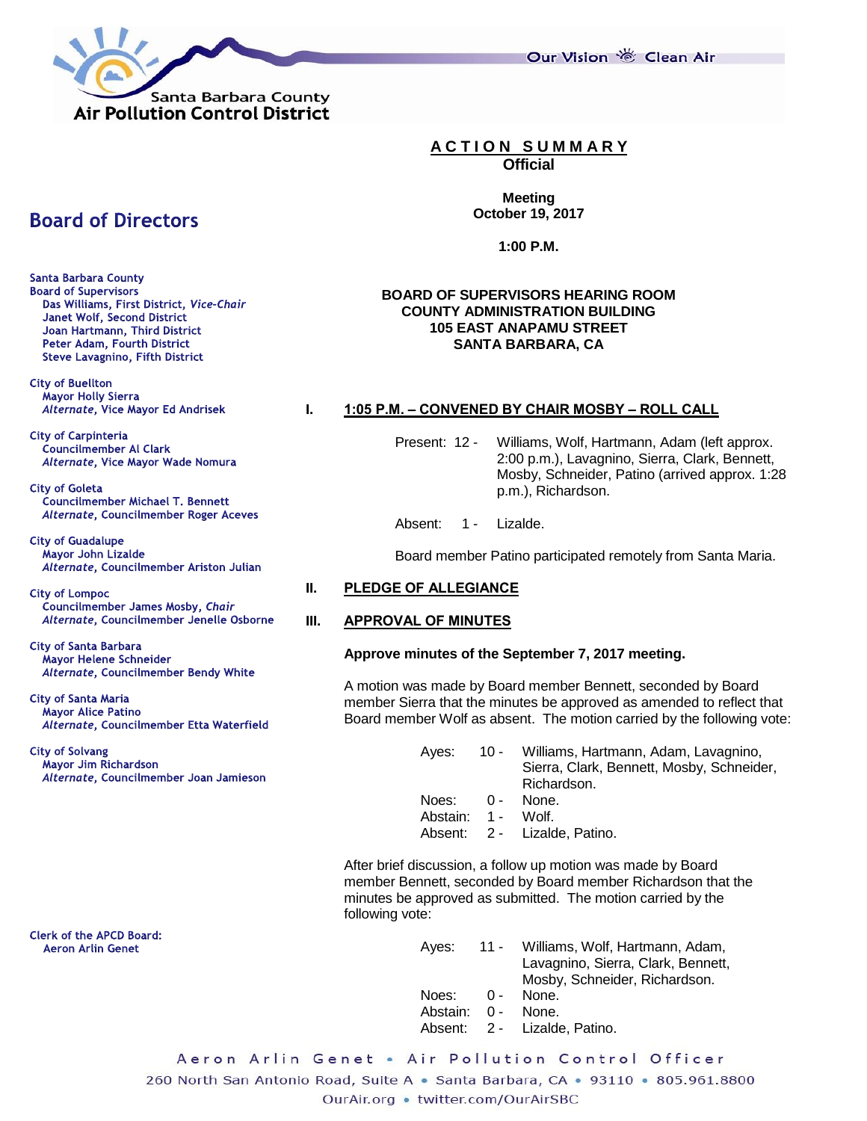

Our Vision 卷 Clean Air

# **A C T I O N S U M M A R Y**

**Official**

**Meeting October 19, 2017**

**1:00 P.M.**

# **BOARD OF SUPERVISORS HEARING ROOM COUNTY ADMINISTRATION BUILDING 105 EAST ANAPAMU STREET SANTA BARBARA, CA**

# **I. 1:05 P.M. – CONVENED BY CHAIR MOSBY – ROLL CALL**

Present: 12 - Williams, Wolf, Hartmann, Adam (left approx. 2:00 p.m.), Lavagnino, Sierra, Clark, Bennett, Mosby, Schneider, Patino (arrived approx. 1:28 p.m.), Richardson.

Absent: 1 - Lizalde.

Board member Patino participated remotely from Santa Maria.

# **II. PLEDGE OF ALLEGIANCE**

# **III. APPROVAL OF MINUTES**

# **Approve minutes of the September 7, 2017 meeting.**

A motion was made by Board member Bennett, seconded by Board member Sierra that the minutes be approved as amended to reflect that Board member Wolf as absent. The motion carried by the following vote:

> Ayes: 10 - Williams, Hartmann, Adam, Lavagnino, Sierra, Clark, Bennett, Mosby, Schneider, Richardson.

- Noes: 0 None.
- Abstain: 1 Wolf.
- Absent: 2 Lizalde, Patino.

After brief discussion, a follow up motion was made by Board member Bennett, seconded by Board member Richardson that the minutes be approved as submitted. The motion carried by the following vote:

| Aves:              | 11 - Williams, Wolf, Hartmann, Adam,<br>Lavagnino, Sierra, Clark, Bennett,<br>Mosby, Schneider, Richardson. |
|--------------------|-------------------------------------------------------------------------------------------------------------|
| Noes:              | 0 - None.                                                                                                   |
| Abstain: 0 - None. |                                                                                                             |
|                    | Absent: 2 - Lizalde, Patino.                                                                                |

Aeron Arlin Genet • Air Pollution Control Officer 260 North San Antonio Road, Suite A · Santa Barbara, CA · 93110 · 805.961.8800 OurAir.org . twitter.com/OurAirSBC

# **Board of Directors**

**Santa Barbara County Board of Supervisors** Das Williams, First District, Vice-Chair Janet Wolf, Second District Joan Hartmann, Third District Peter Adam, Fourth District **Steve Lavagnino, Fifth District** 

**City of Buellton** Mayor Holly Sierra Alternate, Vice Mayor Ed Andrisek

**City of Carpinteria Councilmember Al Clark** Alternate, Vice Mayor Wade Nomura

**City of Goleta Councilmember Michael T. Bennett** Alternate, Councilmember Roger Aceves

**City of Guadalupe** Mayor John Lizalde Alternate, Councilmember Ariston Julian

**City of Lompoc** Councilmember James Mosby, Chair Alternate, Councilmember Jenelle Osborne

**City of Santa Barbara** Mayor Helene Schneider Alternate, Councilmember Bendy White

**City of Santa Maria Mayor Alice Patino** Alternate, Councilmember Etta Waterfield

**City of Solvang** Mayor Jim Richardson Alternate, Councilmember Joan Jamieson

**Clerk of the APCD Board: Aeron Arlin Genet**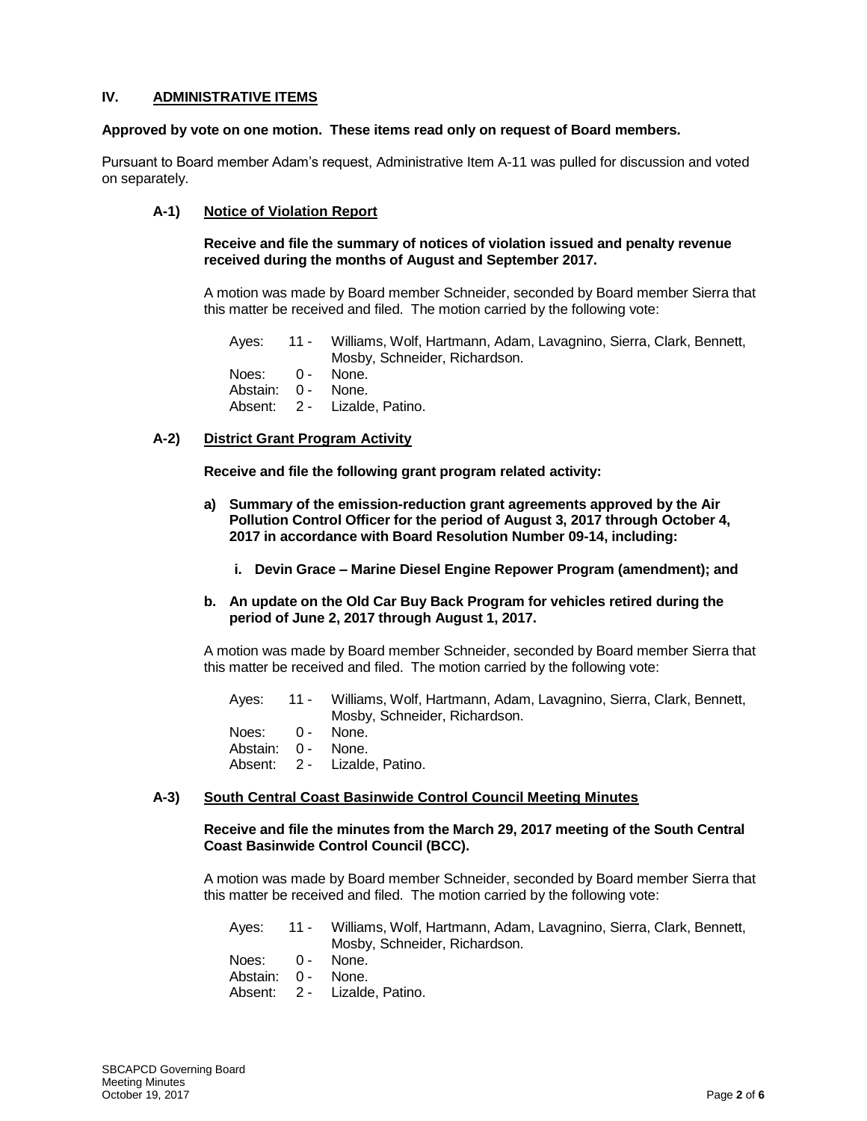# **IV. ADMINISTRATIVE ITEMS**

#### **Approved by vote on one motion. These items read only on request of Board members.**

Pursuant to Board member Adam's request, Administrative Item A-11 was pulled for discussion and voted on separately.

# **A-1) Notice of Violation Report**

**Receive and file the summary of notices of violation issued and penalty revenue received during the months of August and September 2017.**

A motion was made by Board member Schneider, seconded by Board member Sierra that this matter be received and filed. The motion carried by the following vote:

Ayes: 11 - Williams, Wolf, Hartmann, Adam, Lavagnino, Sierra, Clark, Bennett, Mosby, Schneider, Richardson. Noes: 0 - None. Abstain: 0 - None. Absent: 2 - Lizalde, Patino.

# **A-2) District Grant Program Activity**

**Receive and file the following grant program related activity:**

- **a) Summary of the emission-reduction grant agreements approved by the Air Pollution Control Officer for the period of August 3, 2017 through October 4, 2017 in accordance with Board Resolution Number 09-14, including:**
	- **i. Devin Grace – Marine Diesel Engine Repower Program (amendment); and**

#### **b. An update on the Old Car Buy Back Program for vehicles retired during the period of June 2, 2017 through August 1, 2017.**

A motion was made by Board member Schneider, seconded by Board member Sierra that this matter be received and filed. The motion carried by the following vote:

|                                       | Ayes: 11 - Williams, Wolf, Hartmann, Adam, Lavagnino, Sierra, Clark, Bennett,<br>Mosby, Schneider, Richardson. |
|---------------------------------------|----------------------------------------------------------------------------------------------------------------|
| Noes: 0 - None.<br>Abstain: 0 - None. | Absent: 2 - Lizalde, Patino.                                                                                   |

#### **A-3) South Central Coast Basinwide Control Council Meeting Minutes**

# **Receive and file the minutes from the March 29, 2017 meeting of the South Central Coast Basinwide Control Council (BCC).**

A motion was made by Board member Schneider, seconded by Board member Sierra that this matter be received and filed. The motion carried by the following vote:

|                    | Ayes: 11 - Williams, Wolf, Hartmann, Adam, Lavagnino, Sierra, Clark, Bennett, |
|--------------------|-------------------------------------------------------------------------------|
|                    | Mosby, Schneider, Richardson.                                                 |
| Noes: 0 - None.    |                                                                               |
| Abstain: 0 - None. |                                                                               |
|                    | Absent: 2 - Lizalde, Patino.                                                  |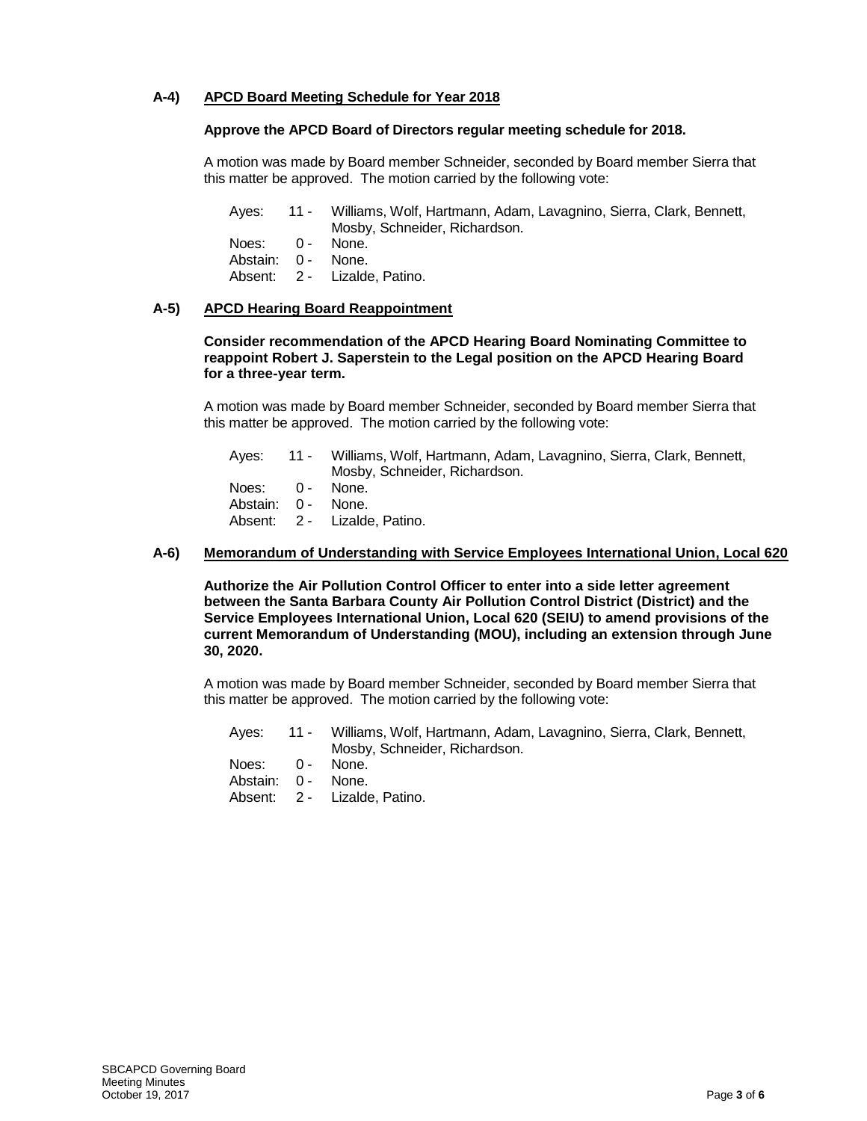# **A-4) APCD Board Meeting Schedule for Year 2018**

# **Approve the APCD Board of Directors regular meeting schedule for 2018.**

A motion was made by Board member Schneider, seconded by Board member Sierra that this matter be approved. The motion carried by the following vote:

Ayes: 11 - Williams, Wolf, Hartmann, Adam, Lavagnino, Sierra, Clark, Bennett, Mosby, Schneider, Richardson. Noes: 0 - None. Abstain: 0 - None. Absent: 2 - Lizalde, Patino.

#### **A-5) APCD Hearing Board Reappointment**

**Consider recommendation of the APCD Hearing Board Nominating Committee to reappoint Robert J. Saperstein to the Legal position on the APCD Hearing Board for a three-year term.**

A motion was made by Board member Schneider, seconded by Board member Sierra that this matter be approved. The motion carried by the following vote:

Ayes: 11 - Williams, Wolf, Hartmann, Adam, Lavagnino, Sierra, Clark, Bennett, Mosby, Schneider, Richardson. Noes: 0 - None. Abstain: 0 - None. Absent: 2 - Lizalde, Patino.

# **A-6) Memorandum of Understanding with Service Employees International Union, Local 620**

**Authorize the Air Pollution Control Officer to enter into a side letter agreement between the Santa Barbara County Air Pollution Control District (District) and the Service Employees International Union, Local 620 (SEIU) to amend provisions of the current Memorandum of Understanding (MOU), including an extension through June 30, 2020.**

A motion was made by Board member Schneider, seconded by Board member Sierra that this matter be approved. The motion carried by the following vote:

|                                       | Ayes: 11 - Williams, Wolf, Hartmann, Adam, Lavagnino, Sierra, Clark, Bennett,<br>Mosby, Schneider, Richardson. |
|---------------------------------------|----------------------------------------------------------------------------------------------------------------|
| Noes: 0 - None.<br>Abstain: 0 - None. |                                                                                                                |

Absent: 2 - Lizalde, Patino.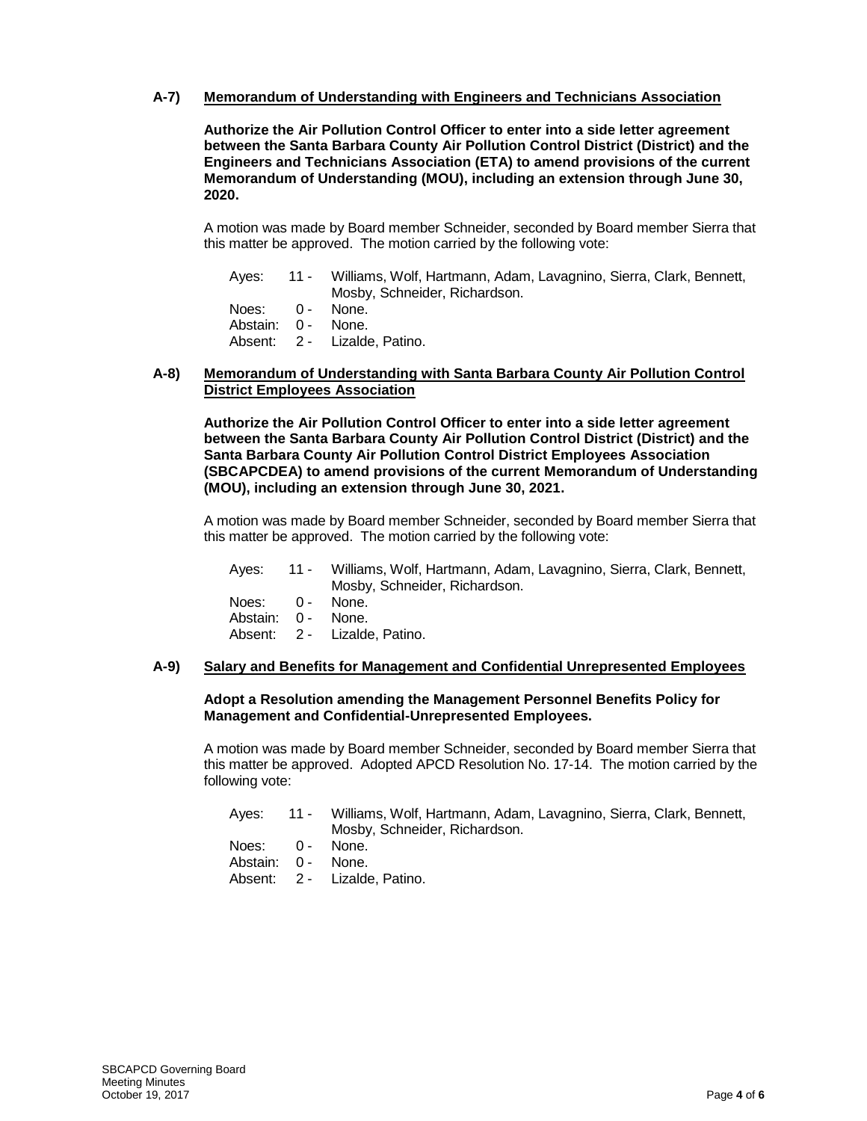# **A-7) Memorandum of Understanding with Engineers and Technicians Association**

**Authorize the Air Pollution Control Officer to enter into a side letter agreement between the Santa Barbara County Air Pollution Control District (District) and the Engineers and Technicians Association (ETA) to amend provisions of the current Memorandum of Understanding (MOU), including an extension through June 30, 2020.**

A motion was made by Board member Schneider, seconded by Board member Sierra that this matter be approved. The motion carried by the following vote:

| Aves:              | 11 - Williams, Wolf, Hartmann, Adam, Lavagnino, Sierra, Clark, Bennett, |
|--------------------|-------------------------------------------------------------------------|
|                    | Mosby, Schneider, Richardson.                                           |
| Noes: 0 - None.    |                                                                         |
| Abstain: 0 - None. |                                                                         |

Absent: 2 - Lizalde, Patino.

#### **A-8) Memorandum of Understanding with Santa Barbara County Air Pollution Control District Employees Association**

**Authorize the Air Pollution Control Officer to enter into a side letter agreement between the Santa Barbara County Air Pollution Control District (District) and the Santa Barbara County Air Pollution Control District Employees Association (SBCAPCDEA) to amend provisions of the current Memorandum of Understanding (MOU), including an extension through June 30, 2021.**

A motion was made by Board member Schneider, seconded by Board member Sierra that this matter be approved. The motion carried by the following vote:

| Aves:             | 11 - Williams, Wolf, Hartmann, Adam, Lavagnino, Sierra, Clark, Bennett, |
|-------------------|-------------------------------------------------------------------------|
|                   | Mosby, Schneider, Richardson.                                           |
| Noes: 0 - None.   |                                                                         |
| Abetain: 0 - None |                                                                         |

Abstain: 0 - None. Absent: 2 - Lizalde, Patino.

# **A-9) Salary and Benefits for Management and Confidential Unrepresented Employees**

#### **Adopt a Resolution amending the Management Personnel Benefits Policy for Management and Confidential-Unrepresented Employees.**

A motion was made by Board member Schneider, seconded by Board member Sierra that this matter be approved. Adopted APCD Resolution No. 17-14. The motion carried by the following vote:

|                    | Ayes: 11 - Williams, Wolf, Hartmann, Adam, Lavagnino, Sierra, Clark, Bennett, |
|--------------------|-------------------------------------------------------------------------------|
|                    | Mosby, Schneider, Richardson.                                                 |
| Noes: 0 - None.    |                                                                               |
| Abstain: 0 - None. |                                                                               |
|                    | Absent: 2 - Lizalde. Patino.                                                  |
|                    |                                                                               |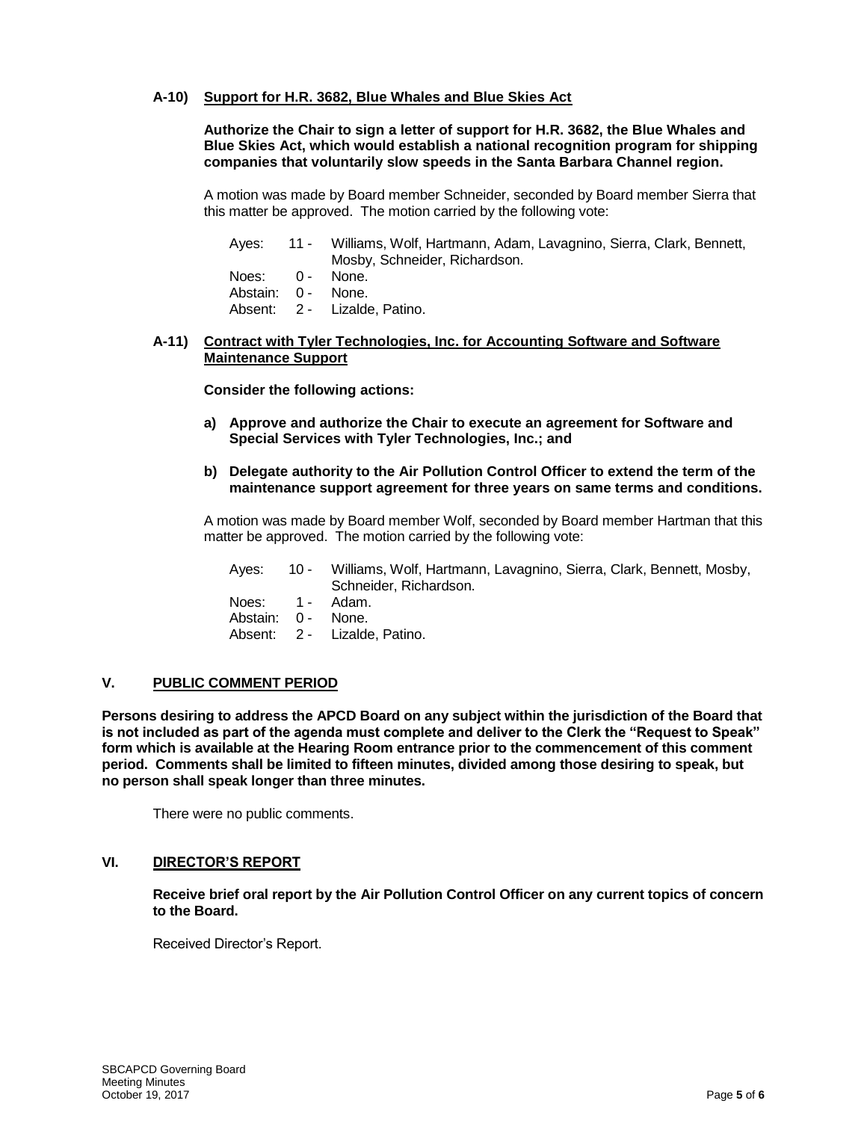# **A-10) Support for H.R. 3682, Blue Whales and Blue Skies Act**

**Authorize the Chair to sign a letter of support for H.R. 3682, the Blue Whales and Blue Skies Act, which would establish a national recognition program for shipping companies that voluntarily slow speeds in the Santa Barbara Channel region.**

A motion was made by Board member Schneider, seconded by Board member Sierra that this matter be approved. The motion carried by the following vote:

|                    | Ayes: 11 - Williams, Wolf, Hartmann, Adam, Lavagnino, Sierra, Clark, Bennett, |
|--------------------|-------------------------------------------------------------------------------|
|                    | Mosby, Schneider, Richardson.                                                 |
| Noes: 0 - None.    |                                                                               |
| Abstain: 0 - None. |                                                                               |
|                    | Absent: 2 - Lizalde, Patino.                                                  |

# **A-11) Contract with Tyler Technologies, Inc. for Accounting Software and Software Maintenance Support**

**Consider the following actions:**

- **a) Approve and authorize the Chair to execute an agreement for Software and Special Services with Tyler Technologies, Inc.; and**
- **b) Delegate authority to the Air Pollution Control Officer to extend the term of the maintenance support agreement for three years on same terms and conditions.**

A motion was made by Board member Wolf, seconded by Board member Hartman that this matter be approved. The motion carried by the following vote:

Ayes: 10 - Williams, Wolf, Hartmann, Lavagnino, Sierra, Clark, Bennett, Mosby, Schneider, Richardson. Noes: 1 - Adam.

Abstain: 0 - None.

Absent: 2 - Lizalde, Patino.

# **V. PUBLIC COMMENT PERIOD**

**Persons desiring to address the APCD Board on any subject within the jurisdiction of the Board that is not included as part of the agenda must complete and deliver to the Clerk the "Request to Speak" form which is available at the Hearing Room entrance prior to the commencement of this comment period. Comments shall be limited to fifteen minutes, divided among those desiring to speak, but no person shall speak longer than three minutes.**

There were no public comments.

# **VI. DIRECTOR'S REPORT**

**Receive brief oral report by the Air Pollution Control Officer on any current topics of concern to the Board.**

Received Director's Report.